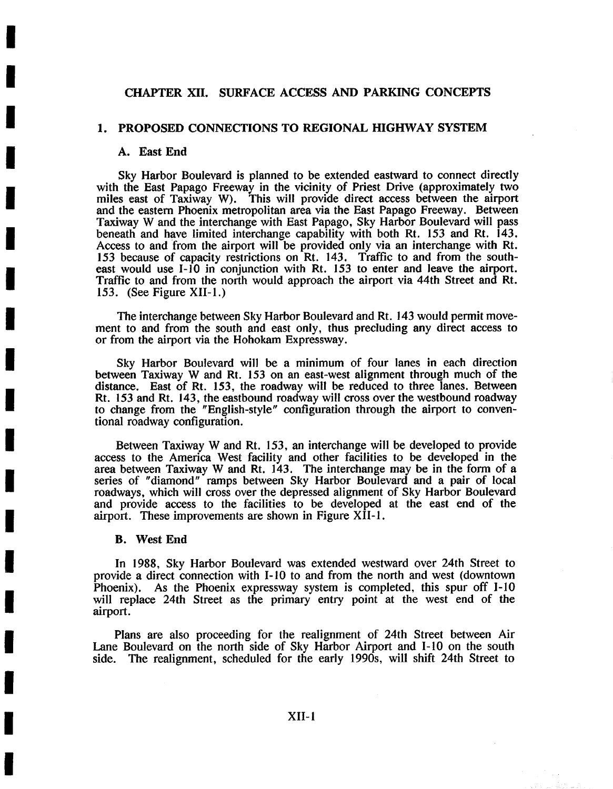## CHAPTER XlI. SURFACE ACCESS AND PARKING CONCEPTS

### 1. PROPOSED CONNECTIONS TO REGIONAL HIGHWAY SYSTEM

### **A. East End**

**I** 

**I** 

**I** 

**I** 

**I** 

**I** 

**I** 

**I** 

**I** 

**I** 

**I** 

**I** 

**I** 

**I** 

**I** 

**I** 

**I** 

**I** 

**I** 

Sky Harbor Boulevard is planned to be extended eastward to connect directly with the East Papago Freeway in the vicinity of Priest Drive (approximately two miles east of Taxiway W). This will provide direct access between the airport and the eastern Phoenix metropolitan area via the East Papago Freeway. Between Taxiway W and the interchange with East Papago, Sky Harbor Boulevard will pass beneath and have limited interchange capability with both Rt. 153 and Rt. 143. Access to and from the airport will be provided only via an interchange with Rt. 153 because of capacity restrictions on Rt. 143. Traffic to and from the southeast would use 1-10 in conjunction with Rt. 153 to enter and leave the airport. Traffic to and from the north would approach the airport via 44th Street and Rt. 153. (See Figure XII-1.)

The interchange between Sky Harbor Boulevard and Rt. 143 would permit movement to and from the south and east only, thus precluding any direct access to or from the airport via the Hohokam Expressway.

Sky Harbor Boulevard will be a minimum of four lanes in each direction between Taxiway W and Rt. 153 on an east-west alignment through much of the distance. East of Rt. 153, the roadway will be reduced to three lanes. Between Rt. 153 and Rt. 143, the eastbound roadway will cross over the westbound roadway to change from the "English-style" configuration through the airport to conventional roadway configuration.

Between Taxiway W and Rt. 153, an interchange will be developed to provide access to the America West facility and other facilities to be developed in the area between Taxiway W and Rt. 143. The interchange may be in the form of a series of "diamond" ramps between Sky Harbor Boulevard and a pair of local roadways, which will cross over the depressed alignment of Sky Harbor Boulevard and provide access to the facilities to be developed at the east end of the airport. These improvements are shown in Figure XII-I.

#### **B. West End**

In 1988, Sky Harbor Boulevard was extended westward over 24th Street to provide a direct connection with 1-10 to and from the north and west (downtown Phoenix). As the Phoenix expressway system is completed, this spur off I-10 will replace 24th Street as the primary entry point at the west end of the airport.

Plans are also proceeding for the realignment of 24th Street between Air Lane Boulevard on the north side of Sky Harbor Airport and I-10 on the south side. The realignment, scheduled for the early 1990s, will shift 24th Street to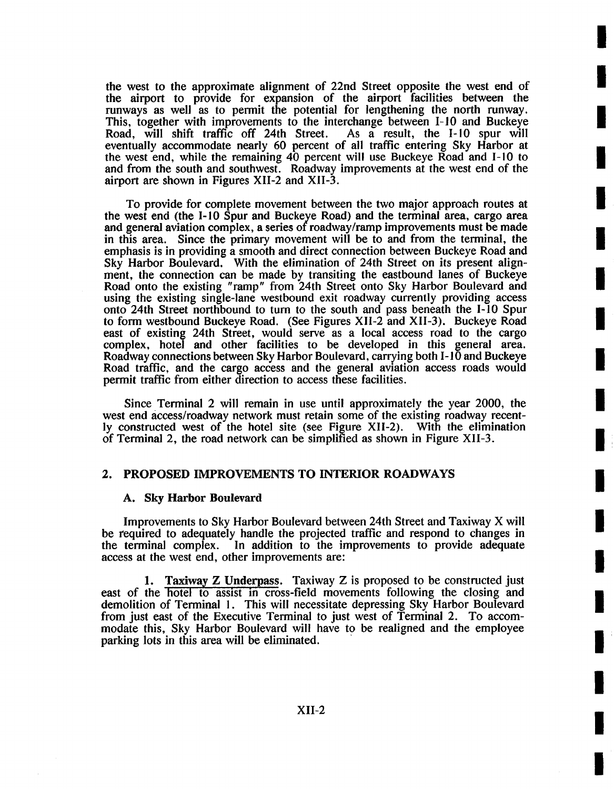the west to the approximate alignment of 22nd Street opposite the west end of the airport to provide for expansion of the airport facilities between the runways as well as to permit the potential for lengthening the north runway. This, together with improvements to the interchange between I-10 and Buckeye Road, will shift traffic off 24th Street. As a result, the I-10 spur will Road, will shift traffic off 24th Street. eventually accommodate nearly 60 percent of all traffic entering Sky Harbor at the west end, while the remaining 40 percent will use Buckeye Road and 1-10 to and from the south and southwest. Roadway improvements at the west end of the airport are shown in Figures XII-2 and XII-3.

**I** 

**I** 

**I** 

**i** 

**I** 

**i** 

**!** 

**I** 

**I** 

**I** 

**I** 

**I** 

I

**i** 

**I** 

**I** 

**I** 

**I** 

**I** 

To provide for complete movement between the two major approach routes at the west end (the I-10 Spur and Buckeye Road) and the terminal area, cargo area and general aviation complex, a series of roadway/ramp improvements must be made in this area. Since the primary movement will be to and from the terminal, the emphasis is in providing a smooth and direct connection between Buckeye Road and Sky Harbor Boulevard. With the elimination of 24th Street on its present alignment, the connection can be made by transiting the eastbound lanes of Buckeye Road onto the existing "ramp" from 24th Street onto Sky Harbor Boulevard and using the existing single-lane westbound exit roadway currently providing access onto 24th Street northbound to turn to the south and pass beneath the 1-10 Spur to form westbound Buckeye Road. (See Figures XII-2 and XII-3). Buckeye Road east of existing 24th Street, would serve as a local access road to the cargo complex, hotel and other facilities to be developed in this general area. Roadway connections between Sky Harbor Boulevard, carrying both I- 10 and Buckeye Road traffic, and the cargo access and the general aviation access roads would permit traffic from either direction to access these facilities.

Since Terminal 2 will remain in use until approximately the year 2000, the west end access/roadway network must retain some of the existing roadway recently constructed west of the hotel site (see Figure XII-2). With the elimination of Terminal 2, the road network can be simplified as shown in Figure XII-3.

## 2. PROPOSED IMPROVEMENTS TO INTERIOR ROADWAYS

### A. Sky **Harbor Boulevard**

Improvements to Sky Harbor Boulevard between 24th Street and Taxiway X will be required to adequately handle the projected traffic and respond to changes in the terminal complex. In addition to the improvements to provide adequate In addition to the improvements to provide adequate access at the west end, other improvements are:

1. Taxiway Z Underpass. Taxiway Z is proposed to be constructed just east of the hotel to assist in cross-field movements following the closing and demolition of Terminal I. This will necessitate depressing Sky Harbor Boulevard from just east of the Executive Terminal to just west of Terminal 2. To accommodate this, Sky Harbor Boulevard will have to be realigned and the employee parking lots in this area will be eliminated.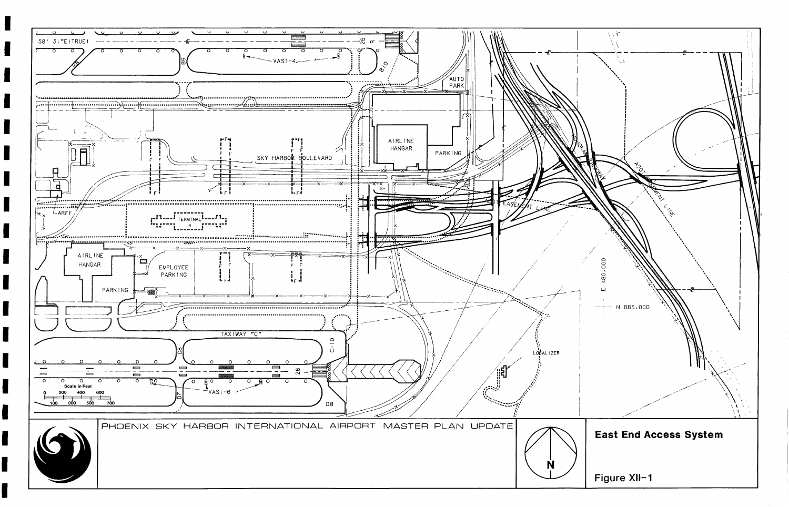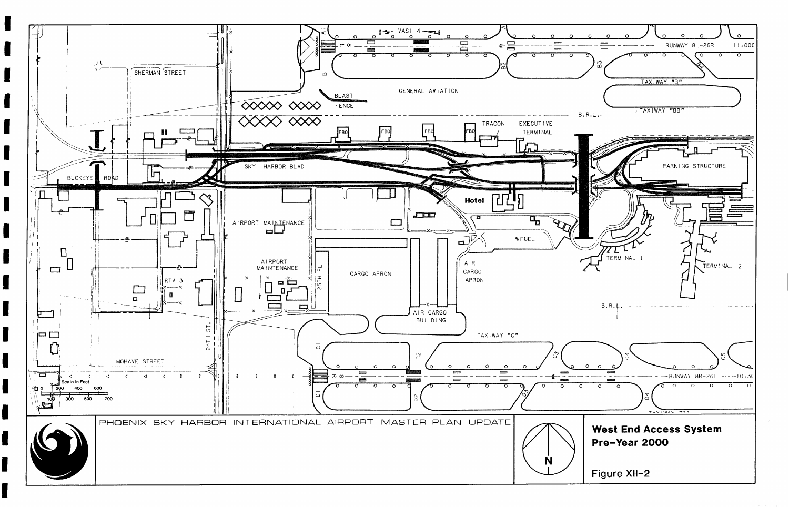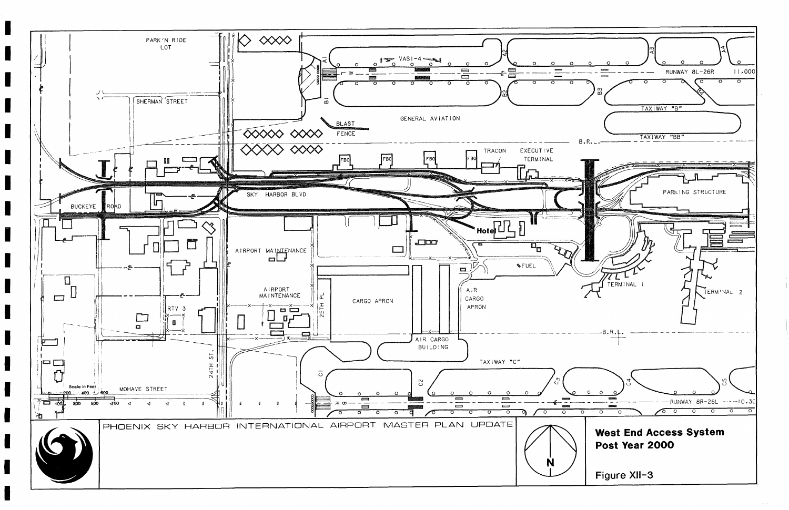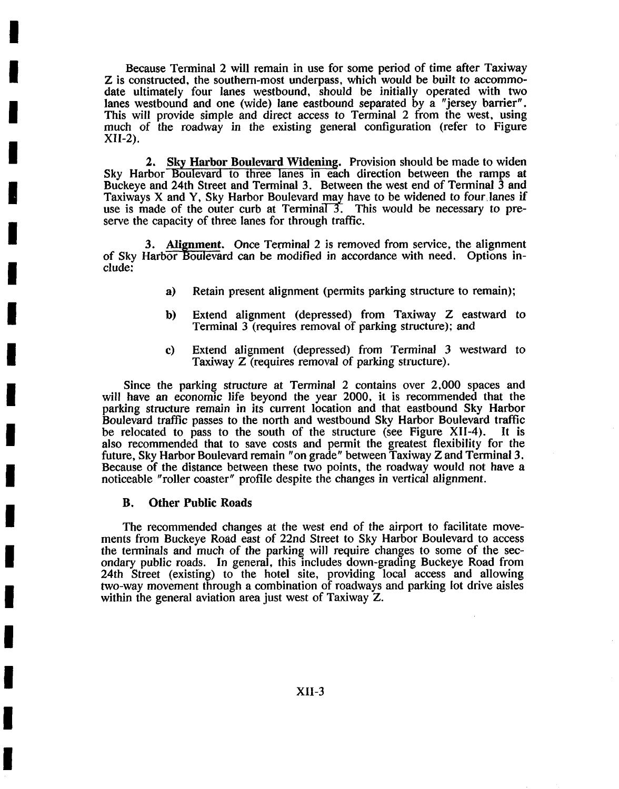Because Terminal 2 will remain in use for some period of time after Taxiway Z is constructed, the southern-most underpass, which would be built to accommodate ultimately four lanes westbound, should be initially operated with two lanes westbound and one (wide) lane eastbound separated by a "jersey barrier". This will provide simple and direct access to Terminal 2 from the west, using much of the roadway in the existing general configuration (refer to Figure XII-2).

2. Sky Harbor Boulevard Widening. Provision should be made to widen Sky Harbor Boulevard to three lanes in each direction between the ramps at Buckeye and 24th Street and Terminal 3. Between the west end of Terminal 3 and Taxiways X and Y, Sky Harbor Boulevard may have to be widened to four,lanes if use is made of the outer curb at Terminal 3. This would be necessary to preserve the capacity of three lanes for through traffic.

3. Alignment. Once Terminal 2 is removed from service, the alignment of Sky Harbor Boulevard can be modified in accordance with need. Options include:

- a) Retain present alignment (permits parking structure to remain);
- b) Extend alignment (depressed) from Taxiway Z eastward to Terminal 3 (requires removal of parking structure); and
- c) Extend alignment (depressed) from Terminal 3 westward to Taxiway Z (requires removal of parking structure).

Since the parking structure at Terminal 2 contains over 2,000 spaces and will have an economic life beyond the year 2000, it is recommended that the parking structure remain in its current location and that eastbound Sky Harbor Boulevard traffic passes to the north and westbound Sky Harbor Boulevard traffic<br>be relocated to pass to the south of the structure (see Figure XII-4). It is be relocated to pass to the south of the structure (see Figure XII-4). also recommended that to save costs and permit the greatest flexibility for the future, Sky Harbor Boulevard remain "on grade" between Taxiway Z and Terminal 3.<br>Because of the distance between these two points, the roadway would not have a noticeable "roller coaster" profile despite the changes in vertical alignment.

### **B. Other Public Roads**

**I** 

**I** 

**I** 

**I** 

**!** 

**I** 

**I** 

**I** 

**I** 

**I** 

**I** 

**i** 

**I** 

**I** 

**I** 

**I** 

**I** 

**!** 

The recommended changes at the west end of the airport to facilitate movements from Buckeye Road east of 22nd Street to Sky Harbor Boulevard to access the terminals and much of the parking will require changes to some of the secondary public roads. In general, this includes down-grading Buckeye Road from 24th Street (existing) to the hotel site, providing local access and allowing two-way movement through a combination of roadways and parking lot drive aisles within the general aviation area just west of Taxiway Z.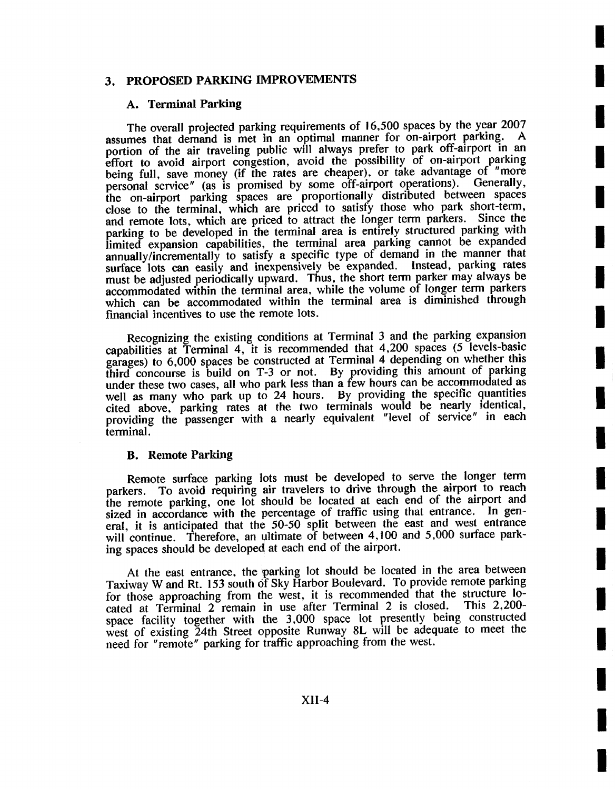# 3. PROPOSED PARKING IMPROVEMENTS

### **A. Terminal Parking**

The overall projected parking requirements of 16,500 spaces by the year 2007 assumes that demand is met in an optimal manner for on-airport parking. portion of the air traveling public will always prefer to park off-airport in an effort to avoid airport congestion, avoid the possibility of on-airport parking being full, save money (if the rates are cheaper), or take advantage of "more personal service" (as is promised by some off-airport operations). Generally, the on-airport parking spaces are proportionally distributed between spaces close to the terminal, which are priced to satisfy those who park short-term, and remote lots, which are priced to attract the longer term parkers. Since the parking to be developed in the terminal area is entirely structured parking with limited expansion capabilities, the terminal area parking cannot be expanded annually/incrementally to satisfy a specific type of demand in the manner that surface lots can easily and inexpensively be expanded. Instead, parking rates surface lots can easily and inexpensively be expanded. must be adjusted periodically upward. Thus, the short term parker may always be accommodated within the terminal area, while the volume of longer term parkers which can be accommodated within the terminal area is diminished through financial incentives to use the remote lots.

**!** 

**I** 

**i** 

**!** 

**I** 

**I** 

**I** 

**I** 

**I** 

**I** 

**I** 

**I** 

**I** 

**I** 

**I** 

**I** 

**I** 

**I** 

Recognizing the existing conditions at Terminal 3 and the parking expansion capabilities at Terminal 4, it is recommended that 4,200 spaces (5 levels-basic garages) to 6,000 spaces be constructed at Terminal 4 depending on whether this third concourse is build on T-3 or not. By providing this amount of parking under these two cases, all who park less than a few hours can be accommodated as well as many who park up to 24 hours. By providing the specific quantities cited above, parking rates at the two terminals would be nearly identical, providing the passenger with a nearly equivalent "level of service" in each terminal.

### B. Remote Parking

Remote surface parking lots must be developed to serve the longer term parkers. To avoid requiring air travelers to drive through the airport to reach the remote parking, one lot should be located at each end of the airport and sized in accordance with the percentage of traffic using that entrance. In general, it is anticipated that the 50-50 split between the east and west entrance will continue. Therefore, an ultimate of between 4,100 and 5,000 surface parking spaces should be developed at each end of the airport.

At the east entrance, the parking lot should be located in the area between Taxiway W and Rt. 153 south of Sky Harbor Boulevard. To provide remote parking for those approaching from the west, it is recommended that the structure lo-<br>cated at Terminal 2 remain in use after Terminal 2 is closed. This 2.200cated at Terminal 2 remain in use after Terminal 2 is closed. space facility together with the 3,000 space lot presently being constructed west of existing 24th Street opposite Runway 8L will be adequate to meet the need for "remote" parking for traffic approaching from the west.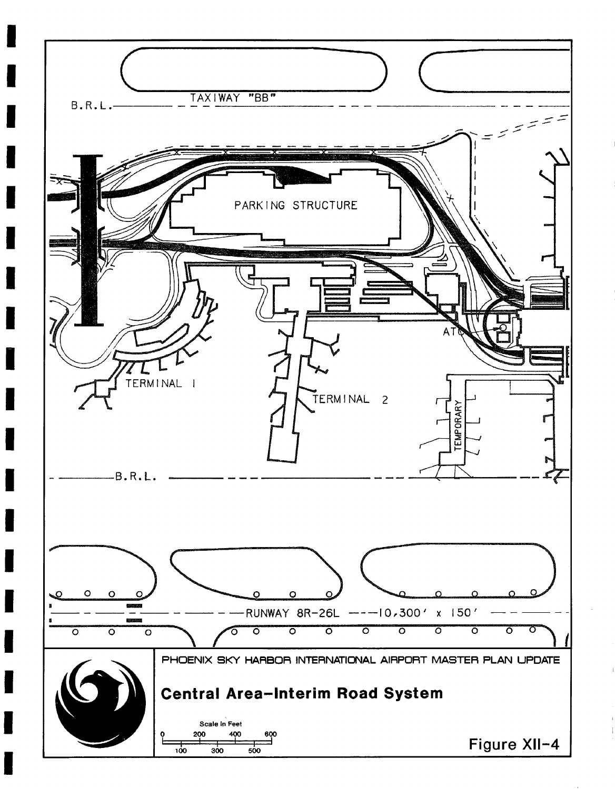